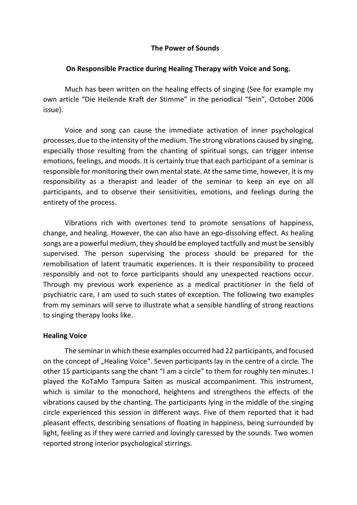## **The Power of Sounds**

## **On Responsible Practice during Healing Therapy with Voice and Song.**

Much has been written on the healing effects of singing (See for example my own article "Die Heilende Kraft der Stimme" in the periodical "Sein", October 2006 issue).

Voice and song can cause the immediate activation of inner psychological processes, due to the intensity of the medium. The strong vibrations caused by singing, especially those resulting from the chanting of spiritual songs, can trigger intense emotions, feelings, and moods. It is certainly true that each participant of a seminar is responsible for monitoring their own mental state. At the same time, however, it is my responsibility as a therapist and leader of the seminar to keep an eye on all participants, and to observe their sensitivities, emotions, and feelings during the entirety of the process.

Vibrations rich with overtones tend to promote sensations of happiness, change, and healing. However, the can also have an ego-dissolving effect. As healing songs are a powerful medium, they should be employed tactfully and must be sensibly supervised. The person supervising the process should be prepared for the remobilisation of latent traumatic experiences. It is their responsibility to proceed responsibly and not to force participants should any unexpected reactions occur. Through my previous work experience as a medical practitioner in the field of psychiatric care, I am used to such states of exception. The following two examples from my seminars will serve to illustrate what a sensible handling of strong reactions to singing therapy looks like.

## **Healing Voice**

The seminar in which these examples occurred had 22 participants, and focused on the concept of "Healing Voice". Seven participants lay in the centre of a circle. The other 15 participants sang the chant "I am a circle" to them for roughly ten minutes. I played the KoTaMo Tampura Saiten as musical accompaniment. This instrument, which is similar to the monochord, heightens and strengthens the effects of the vibrations caused by the chanting. The participants lying in the middle of the singing circle experienced this session in different ways. Five of them reported that it had pleasant effects, describing sensations of floating in happiness, being surrounded by light, feeling as if they were carried and lovingly caressed by the sounds. Two women reported strong interior psychological stirrings.